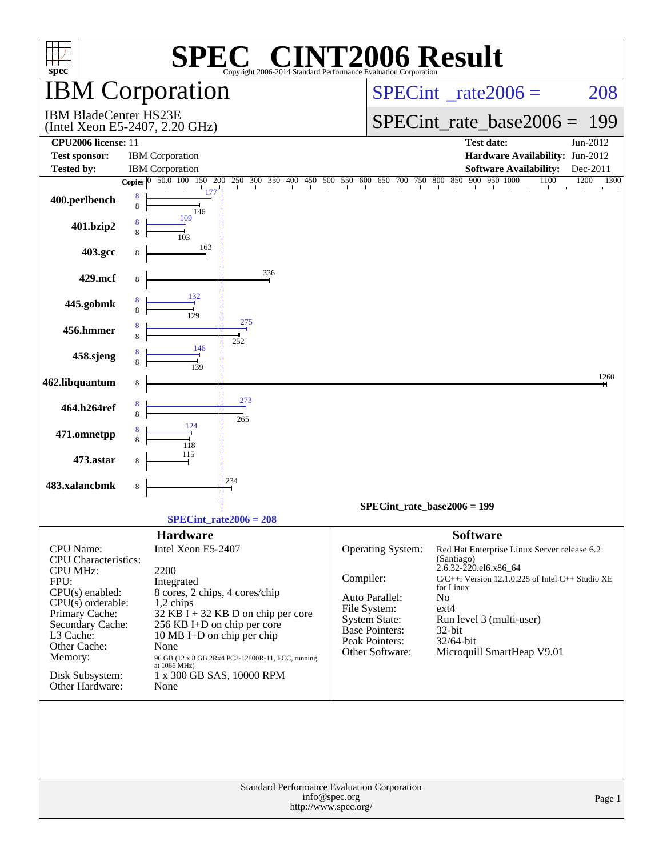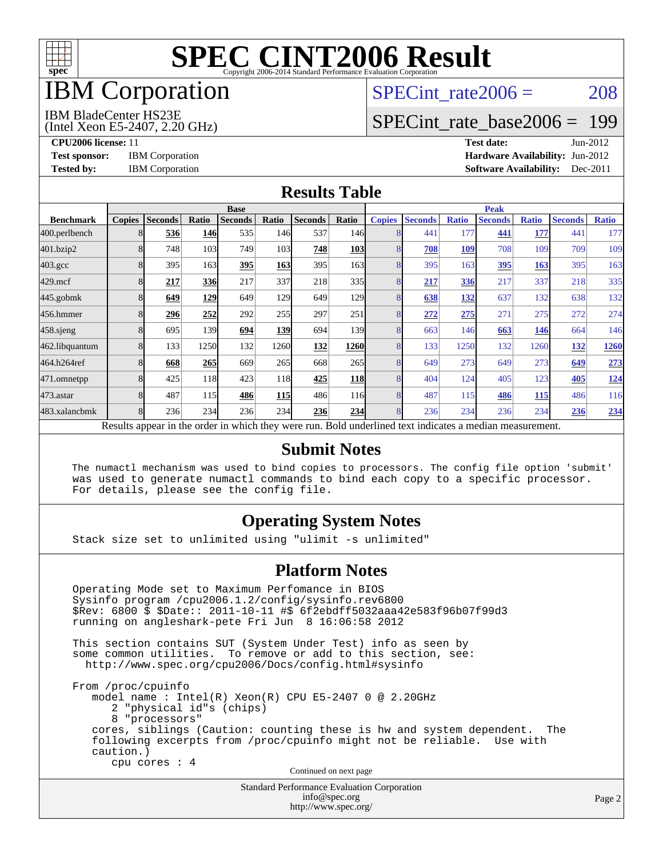

## IBM Corporation

## SPECint rate $2006 = 208$

#### IBM BladeCenter HS23E

(Intel Xeon E5-2407, 2.20 GHz)

[SPECint\\_rate\\_base2006 =](http://www.spec.org/auto/cpu2006/Docs/result-fields.html#SPECintratebase2006) 199

**[CPU2006 license:](http://www.spec.org/auto/cpu2006/Docs/result-fields.html#CPU2006license)** 11 **[Test date:](http://www.spec.org/auto/cpu2006/Docs/result-fields.html#Testdate)** Jun-2012 **[Test sponsor:](http://www.spec.org/auto/cpu2006/Docs/result-fields.html#Testsponsor)** IBM Corporation **IBM** Corporation **[Hardware Availability:](http://www.spec.org/auto/cpu2006/Docs/result-fields.html#HardwareAvailability)** Jun-2012 **[Tested by:](http://www.spec.org/auto/cpu2006/Docs/result-fields.html#Testedby)** IBM Corporation **[Software Availability:](http://www.spec.org/auto/cpu2006/Docs/result-fields.html#SoftwareAvailability)** Dec-2011

#### **[Results Table](http://www.spec.org/auto/cpu2006/Docs/result-fields.html#ResultsTable)**

|                    | <b>Base</b>   |                |              |                                                                                                          |            |                |                  | <b>Peak</b>   |                |              |                |              |                |              |
|--------------------|---------------|----------------|--------------|----------------------------------------------------------------------------------------------------------|------------|----------------|------------------|---------------|----------------|--------------|----------------|--------------|----------------|--------------|
| <b>Benchmark</b>   | <b>Copies</b> | <b>Seconds</b> | <b>Ratio</b> | <b>Seconds</b>                                                                                           | Ratio      | <b>Seconds</b> | Ratio            | <b>Copies</b> | <b>Seconds</b> | <b>Ratio</b> | <b>Seconds</b> | <b>Ratio</b> | <b>Seconds</b> | <b>Ratio</b> |
| 400.perlbench      | 8             | 536            | 146          | 535                                                                                                      | 146        | 537            | 146 <sup>I</sup> | 8             | 441            | 177          | 441            | 177          | 441            | 177          |
| 401.bzip2          | 8             | 748            | 103          | 749                                                                                                      | 103        | 748            | <b>103</b>       | 8             | 708            | 109          | 708            | 109          | 709            | 109          |
| $403.\mathrm{gcc}$ |               | 395            | 163          | 395                                                                                                      | 163        | 395            | 163 <sup>I</sup> | 8             | 395            | 163          | 395            | 163          | 395            | 163          |
| $429$ .mcf         | 8             | 217            | 336          | 217                                                                                                      | 337        | 218            | 335              | 8             | 217            | 336          | 217            | 337          | 218            | 335          |
| $445$ .gobmk       | 8             | 649            | <u>129</u>   | 649                                                                                                      | 129        | 649            | 129              | 8             | 638            | 132          | 637            | 132          | 638            | 132          |
| 456.hmmer          | 8             | 296            | 252          | 292                                                                                                      | 255        | 297            | 251              | 8             | 272            | 275          | 271            | 275          | 272            | 274          |
| $458$ .sjeng       | 8             | 695            | 139          | 694                                                                                                      | 139        | 694            | 139 <sub>l</sub> | 8             | 663            | 146          | 663            | 146          | 664            | 146          |
| 462.libquantum     | 8             | 133            | 1250         | 132                                                                                                      | 1260       | 132            | 1260             | 8             | 133            | 1250         | 132            | 1260         | 132            | 1260         |
| 464.h264ref        | 8             | 668            | 265          | 669                                                                                                      | 265        | 668            | 265              | 8             | 649            | 273          | 649            | 273          | 649            | 273          |
| 471.omnetpp        | 8             | 425            | 118          | 423                                                                                                      | 118        | 425            | <b>118</b>       | 8             | 404            | 124          | 405            | 123          | 405            | <u>124</u>   |
| $473$ . astar      | 8             | 487            | 115          | 486                                                                                                      | <b>115</b> | 486            | 116              | 8             | 487            | 115          | 486            | 115          | 486            | 116          |
| 483.xalancbmk      | 8             | 236            | 234          | 236                                                                                                      | 234        | 236            | 234              | 8             | 236            | 234          | 236            | 234          | 236            | 234          |
|                    |               |                |              | Results appear in the order in which they were run. Bold underlined text indicates a median measurement. |            |                |                  |               |                |              |                |              |                |              |

#### **[Submit Notes](http://www.spec.org/auto/cpu2006/Docs/result-fields.html#SubmitNotes)**

 The numactl mechanism was used to bind copies to processors. The config file option 'submit' was used to generate numactl commands to bind each copy to a specific processor. For details, please see the config file.

#### **[Operating System Notes](http://www.spec.org/auto/cpu2006/Docs/result-fields.html#OperatingSystemNotes)**

Stack size set to unlimited using "ulimit -s unlimited"

#### **[Platform Notes](http://www.spec.org/auto/cpu2006/Docs/result-fields.html#PlatformNotes)**

 Operating Mode set to Maximum Perfomance in BIOS Sysinfo program /cpu2006.1.2/config/sysinfo.rev6800 \$Rev: 6800 \$ \$Date:: 2011-10-11 #\$ 6f2ebdff5032aaa42e583f96b07f99d3 running on angleshark-pete Fri Jun 8 16:06:58 2012 This section contains SUT (System Under Test) info as seen by some common utilities. To remove or add to this section, see: <http://www.spec.org/cpu2006/Docs/config.html#sysinfo> From /proc/cpuinfo model name : Intel(R) Xeon(R) CPU E5-2407 0 @ 2.20GHz 2 "physical id"s (chips) 8 "processors" cores, siblings (Caution: counting these is hw and system dependent. The following excerpts from /proc/cpuinfo might not be reliable. Use with caution.) cpu cores : 4 Continued on next page

Standard Performance Evaluation Corporation [info@spec.org](mailto:info@spec.org) <http://www.spec.org/>

Page 2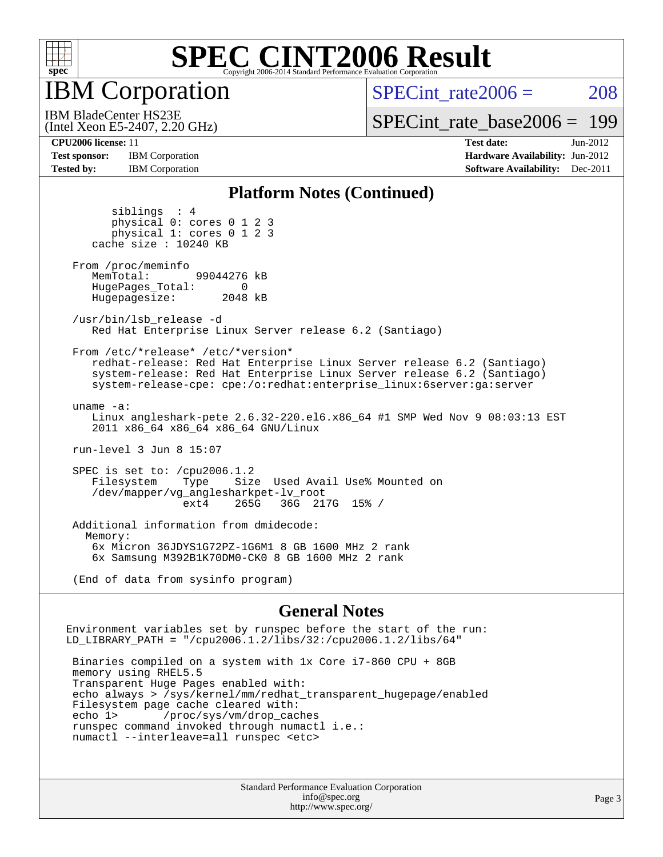

IBM Corporation

SPECint rate $2006 = 208$ 

[SPECint\\_rate\\_base2006 =](http://www.spec.org/auto/cpu2006/Docs/result-fields.html#SPECintratebase2006) 199

**[Test sponsor:](http://www.spec.org/auto/cpu2006/Docs/result-fields.html#Testsponsor)** IBM Corporation **[Hardware Availability:](http://www.spec.org/auto/cpu2006/Docs/result-fields.html#HardwareAvailability)** Jun-2012 **[Tested by:](http://www.spec.org/auto/cpu2006/Docs/result-fields.html#Testedby)** IBM Corporation **IBM** Corporation **[Software Availability:](http://www.spec.org/auto/cpu2006/Docs/result-fields.html#SoftwareAvailability)** Dec-2011

(Intel Xeon E5-2407, 2.20 GHz) IBM BladeCenter HS23E

**[CPU2006 license:](http://www.spec.org/auto/cpu2006/Docs/result-fields.html#CPU2006license)** 11 **[Test date:](http://www.spec.org/auto/cpu2006/Docs/result-fields.html#Testdate)** Jun-2012

#### **[Platform Notes \(Continued\)](http://www.spec.org/auto/cpu2006/Docs/result-fields.html#PlatformNotes)**

 siblings : 4 physical 0: cores 0 1 2 3 physical 1: cores 0 1 2 3 cache size : 10240 KB From /proc/meminfo MemTotal: 99044276 kB HugePages\_Total: 0<br>Hugepagesize: 2048 kB Hugepagesize: /usr/bin/lsb\_release -d Red Hat Enterprise Linux Server release 6.2 (Santiago) From /etc/\*release\* /etc/\*version\* redhat-release: Red Hat Enterprise Linux Server release 6.2 (Santiago) system-release: Red Hat Enterprise Linux Server release 6.2 (Santiago) system-release-cpe: cpe:/o:redhat:enterprise\_linux:6server:ga:server uname -a: Linux angleshark-pete 2.6.32-220.el6.x86\_64 #1 SMP Wed Nov 9 08:03:13 EST 2011 x86\_64 x86\_64 x86\_64 GNU/Linux run-level 3 Jun 8 15:07 SPEC is set to: /cpu2006.1.2<br>Filesystem Type Size Type Size Used Avail Use% Mounted on /dev/mapper/vg\_anglesharkpet-lv\_root ext4 265G 36G 217G 15% / Additional information from dmidecode: Memory: 6x Micron 36JDYS1G72PZ-1G6M1 8 GB 1600 MHz 2 rank 6x Samsung M392B1K70DM0-CK0 8 GB 1600 MHz 2 rank

(End of data from sysinfo program)

#### **[General Notes](http://www.spec.org/auto/cpu2006/Docs/result-fields.html#GeneralNotes)**

Environment variables set by runspec before the start of the run: LD\_LIBRARY\_PATH = "/cpu2006.1.2/libs/32:/cpu2006.1.2/libs/64"

 Binaries compiled on a system with 1x Core i7-860 CPU + 8GB memory using RHEL5.5 Transparent Huge Pages enabled with: echo always > /sys/kernel/mm/redhat\_transparent\_hugepage/enabled Filesystem page cache cleared with: echo 1> /proc/sys/vm/drop\_caches runspec command invoked through numactl i.e.: numactl --interleave=all runspec <etc>

> Standard Performance Evaluation Corporation [info@spec.org](mailto:info@spec.org) <http://www.spec.org/>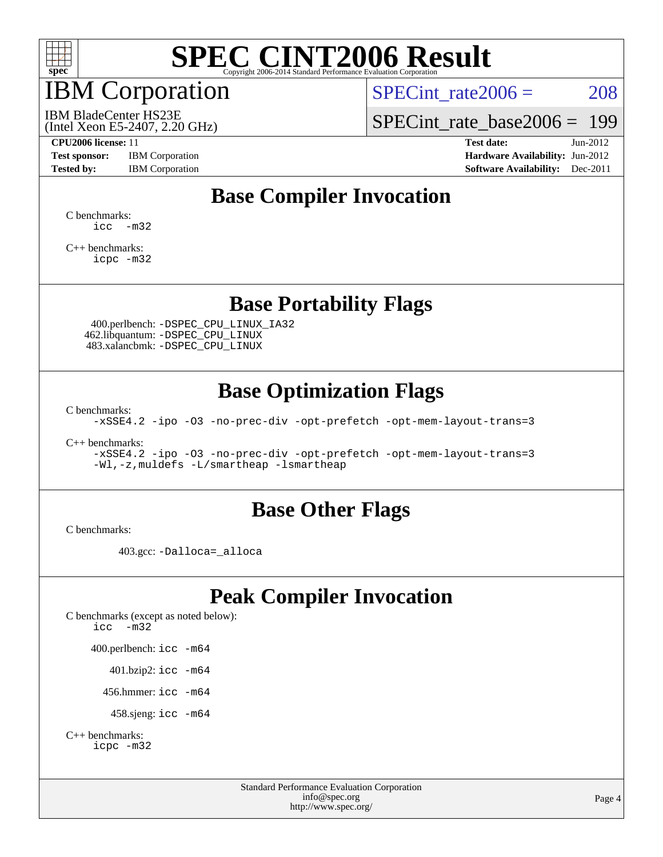

## IBM Corporation

SPECint rate $2006 = 208$ 

(Intel Xeon E5-2407, 2.20 GHz) IBM BladeCenter HS23E

[SPECint\\_rate\\_base2006 =](http://www.spec.org/auto/cpu2006/Docs/result-fields.html#SPECintratebase2006) 199

**[Test sponsor:](http://www.spec.org/auto/cpu2006/Docs/result-fields.html#Testsponsor)** IBM Corporation **[Hardware Availability:](http://www.spec.org/auto/cpu2006/Docs/result-fields.html#HardwareAvailability)** Jun-2012

**[CPU2006 license:](http://www.spec.org/auto/cpu2006/Docs/result-fields.html#CPU2006license)** 11 **[Test date:](http://www.spec.org/auto/cpu2006/Docs/result-fields.html#Testdate)** Jun-2012 **[Tested by:](http://www.spec.org/auto/cpu2006/Docs/result-fields.html#Testedby)** IBM Corporation **[Software Availability:](http://www.spec.org/auto/cpu2006/Docs/result-fields.html#SoftwareAvailability)** Dec-2011

## **[Base Compiler Invocation](http://www.spec.org/auto/cpu2006/Docs/result-fields.html#BaseCompilerInvocation)**

[C benchmarks](http://www.spec.org/auto/cpu2006/Docs/result-fields.html#Cbenchmarks):  $\text{icc}$   $-\text{m32}$ 

[C++ benchmarks:](http://www.spec.org/auto/cpu2006/Docs/result-fields.html#CXXbenchmarks) [icpc -m32](http://www.spec.org/cpu2006/results/res2012q3/cpu2006-20120618-23000.flags.html#user_CXXbase_intel_icpc_4e5a5ef1a53fd332b3c49e69c3330699)

### **[Base Portability Flags](http://www.spec.org/auto/cpu2006/Docs/result-fields.html#BasePortabilityFlags)**

 400.perlbench: [-DSPEC\\_CPU\\_LINUX\\_IA32](http://www.spec.org/cpu2006/results/res2012q3/cpu2006-20120618-23000.flags.html#b400.perlbench_baseCPORTABILITY_DSPEC_CPU_LINUX_IA32) 462.libquantum: [-DSPEC\\_CPU\\_LINUX](http://www.spec.org/cpu2006/results/res2012q3/cpu2006-20120618-23000.flags.html#b462.libquantum_baseCPORTABILITY_DSPEC_CPU_LINUX) 483.xalancbmk: [-DSPEC\\_CPU\\_LINUX](http://www.spec.org/cpu2006/results/res2012q3/cpu2006-20120618-23000.flags.html#b483.xalancbmk_baseCXXPORTABILITY_DSPEC_CPU_LINUX)

### **[Base Optimization Flags](http://www.spec.org/auto/cpu2006/Docs/result-fields.html#BaseOptimizationFlags)**

[C benchmarks](http://www.spec.org/auto/cpu2006/Docs/result-fields.html#Cbenchmarks):

[-xSSE4.2](http://www.spec.org/cpu2006/results/res2012q3/cpu2006-20120618-23000.flags.html#user_CCbase_f-xSSE42_f91528193cf0b216347adb8b939d4107) [-ipo](http://www.spec.org/cpu2006/results/res2012q3/cpu2006-20120618-23000.flags.html#user_CCbase_f-ipo) [-O3](http://www.spec.org/cpu2006/results/res2012q3/cpu2006-20120618-23000.flags.html#user_CCbase_f-O3) [-no-prec-div](http://www.spec.org/cpu2006/results/res2012q3/cpu2006-20120618-23000.flags.html#user_CCbase_f-no-prec-div) [-opt-prefetch](http://www.spec.org/cpu2006/results/res2012q3/cpu2006-20120618-23000.flags.html#user_CCbase_f-opt-prefetch) [-opt-mem-layout-trans=3](http://www.spec.org/cpu2006/results/res2012q3/cpu2006-20120618-23000.flags.html#user_CCbase_f-opt-mem-layout-trans_a7b82ad4bd7abf52556d4961a2ae94d5)

[C++ benchmarks:](http://www.spec.org/auto/cpu2006/Docs/result-fields.html#CXXbenchmarks)

[-xSSE4.2](http://www.spec.org/cpu2006/results/res2012q3/cpu2006-20120618-23000.flags.html#user_CXXbase_f-xSSE42_f91528193cf0b216347adb8b939d4107) [-ipo](http://www.spec.org/cpu2006/results/res2012q3/cpu2006-20120618-23000.flags.html#user_CXXbase_f-ipo) [-O3](http://www.spec.org/cpu2006/results/res2012q3/cpu2006-20120618-23000.flags.html#user_CXXbase_f-O3) [-no-prec-div](http://www.spec.org/cpu2006/results/res2012q3/cpu2006-20120618-23000.flags.html#user_CXXbase_f-no-prec-div) [-opt-prefetch](http://www.spec.org/cpu2006/results/res2012q3/cpu2006-20120618-23000.flags.html#user_CXXbase_f-opt-prefetch) [-opt-mem-layout-trans=3](http://www.spec.org/cpu2006/results/res2012q3/cpu2006-20120618-23000.flags.html#user_CXXbase_f-opt-mem-layout-trans_a7b82ad4bd7abf52556d4961a2ae94d5) [-Wl,-z,muldefs](http://www.spec.org/cpu2006/results/res2012q3/cpu2006-20120618-23000.flags.html#user_CXXbase_link_force_multiple1_74079c344b956b9658436fd1b6dd3a8a) [-L/smartheap -lsmartheap](http://www.spec.org/cpu2006/results/res2012q3/cpu2006-20120618-23000.flags.html#user_CXXbase_SmartHeap_7c9e394a5779e1a7fec7c221e123830c)

### **[Base Other Flags](http://www.spec.org/auto/cpu2006/Docs/result-fields.html#BaseOtherFlags)**

[C benchmarks](http://www.spec.org/auto/cpu2006/Docs/result-fields.html#Cbenchmarks):

403.gcc: [-Dalloca=\\_alloca](http://www.spec.org/cpu2006/results/res2012q3/cpu2006-20120618-23000.flags.html#b403.gcc_baseEXTRA_CFLAGS_Dalloca_be3056838c12de2578596ca5467af7f3)

## **[Peak Compiler Invocation](http://www.spec.org/auto/cpu2006/Docs/result-fields.html#PeakCompilerInvocation)**

[C benchmarks \(except as noted below\)](http://www.spec.org/auto/cpu2006/Docs/result-fields.html#Cbenchmarksexceptasnotedbelow): [icc -m32](http://www.spec.org/cpu2006/results/res2012q3/cpu2006-20120618-23000.flags.html#user_CCpeak_intel_icc_5ff4a39e364c98233615fdd38438c6f2) 400.perlbench: [icc -m64](http://www.spec.org/cpu2006/results/res2012q3/cpu2006-20120618-23000.flags.html#user_peakCCLD400_perlbench_intel_icc_64bit_bda6cc9af1fdbb0edc3795bac97ada53) 401.bzip2: [icc -m64](http://www.spec.org/cpu2006/results/res2012q3/cpu2006-20120618-23000.flags.html#user_peakCCLD401_bzip2_intel_icc_64bit_bda6cc9af1fdbb0edc3795bac97ada53)

456.hmmer: [icc -m64](http://www.spec.org/cpu2006/results/res2012q3/cpu2006-20120618-23000.flags.html#user_peakCCLD456_hmmer_intel_icc_64bit_bda6cc9af1fdbb0edc3795bac97ada53)

458.sjeng: [icc -m64](http://www.spec.org/cpu2006/results/res2012q3/cpu2006-20120618-23000.flags.html#user_peakCCLD458_sjeng_intel_icc_64bit_bda6cc9af1fdbb0edc3795bac97ada53)

```
C++ benchmarks: 
icpc -m32
```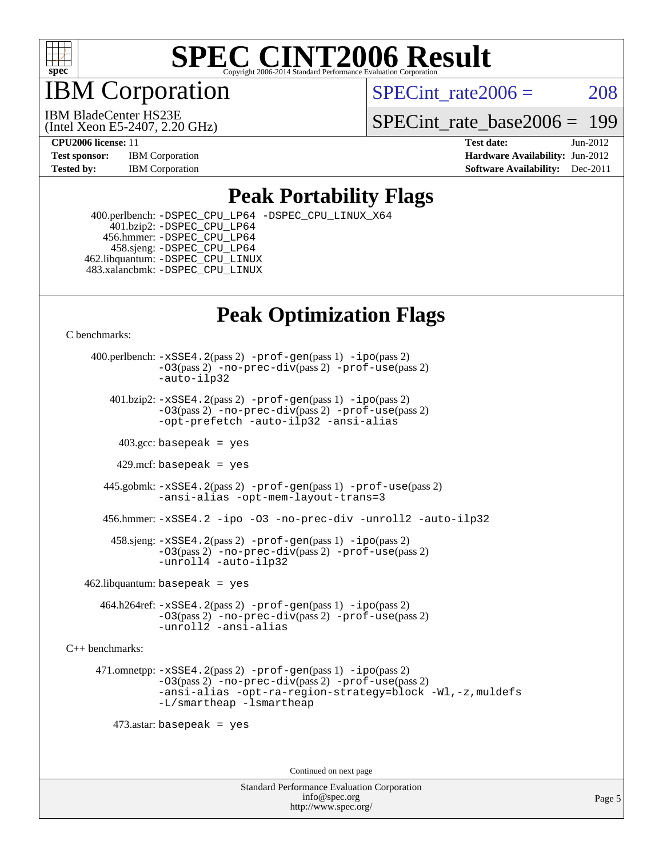

IBM Corporation

SPECint rate $2006 = 208$ 

(Intel Xeon E5-2407, 2.20 GHz) IBM BladeCenter HS23E

SPECint rate base  $2006 = 199$ 

**[Test sponsor:](http://www.spec.org/auto/cpu2006/Docs/result-fields.html#Testsponsor)** IBM Corporation **[Hardware Availability:](http://www.spec.org/auto/cpu2006/Docs/result-fields.html#HardwareAvailability)** Jun-2012

**[CPU2006 license:](http://www.spec.org/auto/cpu2006/Docs/result-fields.html#CPU2006license)** 11 **[Test date:](http://www.spec.org/auto/cpu2006/Docs/result-fields.html#Testdate)** Jun-2012 **[Tested by:](http://www.spec.org/auto/cpu2006/Docs/result-fields.html#Testedby)** IBM Corporation **IBM** Corporation **[Software Availability:](http://www.spec.org/auto/cpu2006/Docs/result-fields.html#SoftwareAvailability)** Dec-2011

### **[Peak Portability Flags](http://www.spec.org/auto/cpu2006/Docs/result-fields.html#PeakPortabilityFlags)**

 400.perlbench: [-DSPEC\\_CPU\\_LP64](http://www.spec.org/cpu2006/results/res2012q3/cpu2006-20120618-23000.flags.html#b400.perlbench_peakCPORTABILITY_DSPEC_CPU_LP64) [-DSPEC\\_CPU\\_LINUX\\_X64](http://www.spec.org/cpu2006/results/res2012q3/cpu2006-20120618-23000.flags.html#b400.perlbench_peakCPORTABILITY_DSPEC_CPU_LINUX_X64) 401.bzip2: [-DSPEC\\_CPU\\_LP64](http://www.spec.org/cpu2006/results/res2012q3/cpu2006-20120618-23000.flags.html#suite_peakCPORTABILITY401_bzip2_DSPEC_CPU_LP64) 456.hmmer: [-DSPEC\\_CPU\\_LP64](http://www.spec.org/cpu2006/results/res2012q3/cpu2006-20120618-23000.flags.html#suite_peakCPORTABILITY456_hmmer_DSPEC_CPU_LP64) 458.sjeng: [-DSPEC\\_CPU\\_LP64](http://www.spec.org/cpu2006/results/res2012q3/cpu2006-20120618-23000.flags.html#suite_peakCPORTABILITY458_sjeng_DSPEC_CPU_LP64) 462.libquantum: [-DSPEC\\_CPU\\_LINUX](http://www.spec.org/cpu2006/results/res2012q3/cpu2006-20120618-23000.flags.html#b462.libquantum_peakCPORTABILITY_DSPEC_CPU_LINUX) 483.xalancbmk: [-DSPEC\\_CPU\\_LINUX](http://www.spec.org/cpu2006/results/res2012q3/cpu2006-20120618-23000.flags.html#b483.xalancbmk_peakCXXPORTABILITY_DSPEC_CPU_LINUX)

## **[Peak Optimization Flags](http://www.spec.org/auto/cpu2006/Docs/result-fields.html#PeakOptimizationFlags)**

[C benchmarks](http://www.spec.org/auto/cpu2006/Docs/result-fields.html#Cbenchmarks):

 400.perlbench: [-xSSE4.2](http://www.spec.org/cpu2006/results/res2012q3/cpu2006-20120618-23000.flags.html#user_peakPASS2_CFLAGSPASS2_LDCFLAGS400_perlbench_f-xSSE42_f91528193cf0b216347adb8b939d4107)(pass 2) [-prof-gen](http://www.spec.org/cpu2006/results/res2012q3/cpu2006-20120618-23000.flags.html#user_peakPASS1_CFLAGSPASS1_LDCFLAGS400_perlbench_prof_gen_e43856698f6ca7b7e442dfd80e94a8fc)(pass 1) [-ipo](http://www.spec.org/cpu2006/results/res2012q3/cpu2006-20120618-23000.flags.html#user_peakPASS2_CFLAGSPASS2_LDCFLAGS400_perlbench_f-ipo)(pass 2) [-O3](http://www.spec.org/cpu2006/results/res2012q3/cpu2006-20120618-23000.flags.html#user_peakPASS2_CFLAGSPASS2_LDCFLAGS400_perlbench_f-O3)(pass 2) [-no-prec-div](http://www.spec.org/cpu2006/results/res2012q3/cpu2006-20120618-23000.flags.html#user_peakPASS2_CFLAGSPASS2_LDCFLAGS400_perlbench_f-no-prec-div)(pass 2) [-prof-use](http://www.spec.org/cpu2006/results/res2012q3/cpu2006-20120618-23000.flags.html#user_peakPASS2_CFLAGSPASS2_LDCFLAGS400_perlbench_prof_use_bccf7792157ff70d64e32fe3e1250b55)(pass 2) [-auto-ilp32](http://www.spec.org/cpu2006/results/res2012q3/cpu2006-20120618-23000.flags.html#user_peakCOPTIMIZE400_perlbench_f-auto-ilp32)  $401.bzip2: -xSSE4.2(pass 2) -prof-qen(pass 1) -ipo(pass 2)$  $401.bzip2: -xSSE4.2(pass 2) -prof-qen(pass 1) -ipo(pass 2)$  $401.bzip2: -xSSE4.2(pass 2) -prof-qen(pass 1) -ipo(pass 2)$  $401.bzip2: -xSSE4.2(pass 2) -prof-qen(pass 1) -ipo(pass 2)$  $401.bzip2: -xSSE4.2(pass 2) -prof-qen(pass 1) -ipo(pass 2)$ [-O3](http://www.spec.org/cpu2006/results/res2012q3/cpu2006-20120618-23000.flags.html#user_peakPASS2_CFLAGSPASS2_LDCFLAGS401_bzip2_f-O3)(pass 2) [-no-prec-div](http://www.spec.org/cpu2006/results/res2012q3/cpu2006-20120618-23000.flags.html#user_peakPASS2_CFLAGSPASS2_LDCFLAGS401_bzip2_f-no-prec-div)(pass 2) [-prof-use](http://www.spec.org/cpu2006/results/res2012q3/cpu2006-20120618-23000.flags.html#user_peakPASS2_CFLAGSPASS2_LDCFLAGS401_bzip2_prof_use_bccf7792157ff70d64e32fe3e1250b55)(pass 2) [-opt-prefetch](http://www.spec.org/cpu2006/results/res2012q3/cpu2006-20120618-23000.flags.html#user_peakCOPTIMIZE401_bzip2_f-opt-prefetch) [-auto-ilp32](http://www.spec.org/cpu2006/results/res2012q3/cpu2006-20120618-23000.flags.html#user_peakCOPTIMIZE401_bzip2_f-auto-ilp32) [-ansi-alias](http://www.spec.org/cpu2006/results/res2012q3/cpu2006-20120618-23000.flags.html#user_peakCOPTIMIZE401_bzip2_f-ansi-alias)  $403.\text{sec: basepeak}$  = yes 429.mcf: basepeak = yes 445.gobmk: [-xSSE4.2](http://www.spec.org/cpu2006/results/res2012q3/cpu2006-20120618-23000.flags.html#user_peakPASS2_CFLAGSPASS2_LDCFLAGS445_gobmk_f-xSSE42_f91528193cf0b216347adb8b939d4107)(pass 2) [-prof-gen](http://www.spec.org/cpu2006/results/res2012q3/cpu2006-20120618-23000.flags.html#user_peakPASS1_CFLAGSPASS1_LDCFLAGS445_gobmk_prof_gen_e43856698f6ca7b7e442dfd80e94a8fc)(pass 1) [-prof-use](http://www.spec.org/cpu2006/results/res2012q3/cpu2006-20120618-23000.flags.html#user_peakPASS2_CFLAGSPASS2_LDCFLAGS445_gobmk_prof_use_bccf7792157ff70d64e32fe3e1250b55)(pass 2) [-ansi-alias](http://www.spec.org/cpu2006/results/res2012q3/cpu2006-20120618-23000.flags.html#user_peakCOPTIMIZE445_gobmk_f-ansi-alias) [-opt-mem-layout-trans=3](http://www.spec.org/cpu2006/results/res2012q3/cpu2006-20120618-23000.flags.html#user_peakCOPTIMIZE445_gobmk_f-opt-mem-layout-trans_a7b82ad4bd7abf52556d4961a2ae94d5) 456.hmmer: [-xSSE4.2](http://www.spec.org/cpu2006/results/res2012q3/cpu2006-20120618-23000.flags.html#user_peakCOPTIMIZE456_hmmer_f-xSSE42_f91528193cf0b216347adb8b939d4107) [-ipo](http://www.spec.org/cpu2006/results/res2012q3/cpu2006-20120618-23000.flags.html#user_peakCOPTIMIZE456_hmmer_f-ipo) [-O3](http://www.spec.org/cpu2006/results/res2012q3/cpu2006-20120618-23000.flags.html#user_peakCOPTIMIZE456_hmmer_f-O3) [-no-prec-div](http://www.spec.org/cpu2006/results/res2012q3/cpu2006-20120618-23000.flags.html#user_peakCOPTIMIZE456_hmmer_f-no-prec-div) [-unroll2](http://www.spec.org/cpu2006/results/res2012q3/cpu2006-20120618-23000.flags.html#user_peakCOPTIMIZE456_hmmer_f-unroll_784dae83bebfb236979b41d2422d7ec2) [-auto-ilp32](http://www.spec.org/cpu2006/results/res2012q3/cpu2006-20120618-23000.flags.html#user_peakCOPTIMIZE456_hmmer_f-auto-ilp32) 458.sjeng: [-xSSE4.2](http://www.spec.org/cpu2006/results/res2012q3/cpu2006-20120618-23000.flags.html#user_peakPASS2_CFLAGSPASS2_LDCFLAGS458_sjeng_f-xSSE42_f91528193cf0b216347adb8b939d4107)(pass 2) [-prof-gen](http://www.spec.org/cpu2006/results/res2012q3/cpu2006-20120618-23000.flags.html#user_peakPASS1_CFLAGSPASS1_LDCFLAGS458_sjeng_prof_gen_e43856698f6ca7b7e442dfd80e94a8fc)(pass 1) [-ipo](http://www.spec.org/cpu2006/results/res2012q3/cpu2006-20120618-23000.flags.html#user_peakPASS2_CFLAGSPASS2_LDCFLAGS458_sjeng_f-ipo)(pass 2) [-O3](http://www.spec.org/cpu2006/results/res2012q3/cpu2006-20120618-23000.flags.html#user_peakPASS2_CFLAGSPASS2_LDCFLAGS458_sjeng_f-O3)(pass 2) [-no-prec-div](http://www.spec.org/cpu2006/results/res2012q3/cpu2006-20120618-23000.flags.html#user_peakPASS2_CFLAGSPASS2_LDCFLAGS458_sjeng_f-no-prec-div)(pass 2) [-prof-use](http://www.spec.org/cpu2006/results/res2012q3/cpu2006-20120618-23000.flags.html#user_peakPASS2_CFLAGSPASS2_LDCFLAGS458_sjeng_prof_use_bccf7792157ff70d64e32fe3e1250b55)(pass 2) [-unroll4](http://www.spec.org/cpu2006/results/res2012q3/cpu2006-20120618-23000.flags.html#user_peakCOPTIMIZE458_sjeng_f-unroll_4e5e4ed65b7fd20bdcd365bec371b81f) [-auto-ilp32](http://www.spec.org/cpu2006/results/res2012q3/cpu2006-20120618-23000.flags.html#user_peakCOPTIMIZE458_sjeng_f-auto-ilp32)  $462$ .libquantum: basepeak = yes 464.h264ref: [-xSSE4.2](http://www.spec.org/cpu2006/results/res2012q3/cpu2006-20120618-23000.flags.html#user_peakPASS2_CFLAGSPASS2_LDCFLAGS464_h264ref_f-xSSE42_f91528193cf0b216347adb8b939d4107)(pass 2) [-prof-gen](http://www.spec.org/cpu2006/results/res2012q3/cpu2006-20120618-23000.flags.html#user_peakPASS1_CFLAGSPASS1_LDCFLAGS464_h264ref_prof_gen_e43856698f6ca7b7e442dfd80e94a8fc)(pass 1) [-ipo](http://www.spec.org/cpu2006/results/res2012q3/cpu2006-20120618-23000.flags.html#user_peakPASS2_CFLAGSPASS2_LDCFLAGS464_h264ref_f-ipo)(pass 2) [-O3](http://www.spec.org/cpu2006/results/res2012q3/cpu2006-20120618-23000.flags.html#user_peakPASS2_CFLAGSPASS2_LDCFLAGS464_h264ref_f-O3)(pass 2) [-no-prec-div](http://www.spec.org/cpu2006/results/res2012q3/cpu2006-20120618-23000.flags.html#user_peakPASS2_CFLAGSPASS2_LDCFLAGS464_h264ref_f-no-prec-div)(pass 2) [-prof-use](http://www.spec.org/cpu2006/results/res2012q3/cpu2006-20120618-23000.flags.html#user_peakPASS2_CFLAGSPASS2_LDCFLAGS464_h264ref_prof_use_bccf7792157ff70d64e32fe3e1250b55)(pass 2) [-unroll2](http://www.spec.org/cpu2006/results/res2012q3/cpu2006-20120618-23000.flags.html#user_peakCOPTIMIZE464_h264ref_f-unroll_784dae83bebfb236979b41d2422d7ec2) [-ansi-alias](http://www.spec.org/cpu2006/results/res2012q3/cpu2006-20120618-23000.flags.html#user_peakCOPTIMIZE464_h264ref_f-ansi-alias) [C++ benchmarks:](http://www.spec.org/auto/cpu2006/Docs/result-fields.html#CXXbenchmarks) 471.omnetpp: [-xSSE4.2](http://www.spec.org/cpu2006/results/res2012q3/cpu2006-20120618-23000.flags.html#user_peakPASS2_CXXFLAGSPASS2_LDCXXFLAGS471_omnetpp_f-xSSE42_f91528193cf0b216347adb8b939d4107)(pass 2) [-prof-gen](http://www.spec.org/cpu2006/results/res2012q3/cpu2006-20120618-23000.flags.html#user_peakPASS1_CXXFLAGSPASS1_LDCXXFLAGS471_omnetpp_prof_gen_e43856698f6ca7b7e442dfd80e94a8fc)(pass 1) [-ipo](http://www.spec.org/cpu2006/results/res2012q3/cpu2006-20120618-23000.flags.html#user_peakPASS2_CXXFLAGSPASS2_LDCXXFLAGS471_omnetpp_f-ipo)(pass 2) [-O3](http://www.spec.org/cpu2006/results/res2012q3/cpu2006-20120618-23000.flags.html#user_peakPASS2_CXXFLAGSPASS2_LDCXXFLAGS471_omnetpp_f-O3)(pass 2) [-no-prec-div](http://www.spec.org/cpu2006/results/res2012q3/cpu2006-20120618-23000.flags.html#user_peakPASS2_CXXFLAGSPASS2_LDCXXFLAGS471_omnetpp_f-no-prec-div)(pass 2) [-prof-use](http://www.spec.org/cpu2006/results/res2012q3/cpu2006-20120618-23000.flags.html#user_peakPASS2_CXXFLAGSPASS2_LDCXXFLAGS471_omnetpp_prof_use_bccf7792157ff70d64e32fe3e1250b55)(pass 2) [-ansi-alias](http://www.spec.org/cpu2006/results/res2012q3/cpu2006-20120618-23000.flags.html#user_peakCXXOPTIMIZE471_omnetpp_f-ansi-alias) [-opt-ra-region-strategy=block](http://www.spec.org/cpu2006/results/res2012q3/cpu2006-20120618-23000.flags.html#user_peakCXXOPTIMIZE471_omnetpp_f-opt-ra-region-strategy_a0a37c372d03933b2a18d4af463c1f69) [-Wl,-z,muldefs](http://www.spec.org/cpu2006/results/res2012q3/cpu2006-20120618-23000.flags.html#user_peakEXTRA_LDFLAGS471_omnetpp_link_force_multiple1_74079c344b956b9658436fd1b6dd3a8a) [-L/smartheap -lsmartheap](http://www.spec.org/cpu2006/results/res2012q3/cpu2006-20120618-23000.flags.html#user_peakEXTRA_LIBS471_omnetpp_SmartHeap_7c9e394a5779e1a7fec7c221e123830c) 473.astar: basepeak = yes

Continued on next page

Standard Performance Evaluation Corporation [info@spec.org](mailto:info@spec.org) <http://www.spec.org/>